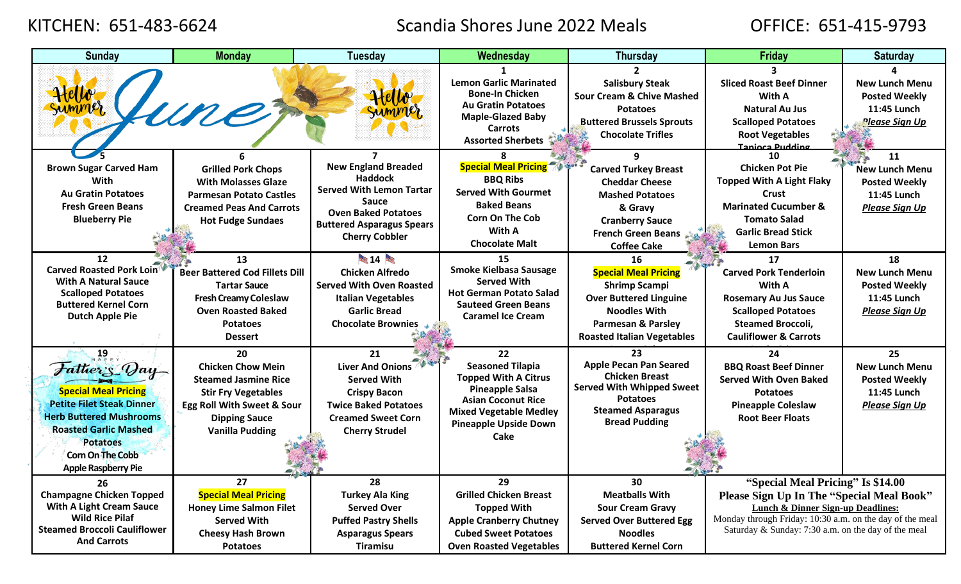## KITCHEN: 651-483-6624 Scandia Shores June 2022 Meals OFFICE: 651-415-9793

| <b>Sunday</b>                       | <b>Monday</b>                         | <b>Tuesday</b>                               | Wednesday                                              | <b>Thursday</b>                                  | Friday                                                   | <b>Saturday</b>       |
|-------------------------------------|---------------------------------------|----------------------------------------------|--------------------------------------------------------|--------------------------------------------------|----------------------------------------------------------|-----------------------|
|                                     |                                       |                                              |                                                        |                                                  |                                                          |                       |
|                                     |                                       |                                              | <b>Lemon Garlic Marinated</b>                          | <b>Salisbury Steak</b>                           | <b>Sliced Roast Beef Dinner</b>                          | <b>New Lunch Menu</b> |
|                                     |                                       |                                              | <b>Bone-In Chicken</b>                                 | <b>Sour Cream &amp; Chive Mashed</b>             | With A                                                   | <b>Posted Weekly</b>  |
|                                     |                                       |                                              | <b>Au Gratin Potatoes</b>                              | <b>Potatoes</b>                                  | <b>Natural Au Jus</b>                                    | 11:45 Lunch           |
|                                     | Une                                   |                                              | <b>Maple-Glazed Baby</b>                               | <b>Buttered Brussels Sprouts</b>                 | <b>Scalloped Potatoes</b>                                | Please Sign Up        |
|                                     |                                       |                                              | <b>Carrots</b><br><b>Assorted Sherbets</b>             | <b>Chocolate Trifles</b>                         | <b>Root Vegetables</b>                                   |                       |
|                                     |                                       |                                              |                                                        |                                                  | Tanjoca Pudding                                          |                       |
|                                     |                                       |                                              |                                                        |                                                  | 10                                                       | 11                    |
| <b>Brown Sugar Carved Ham</b>       | <b>Grilled Pork Chops</b>             | <b>New England Breaded</b><br><b>Haddock</b> | <b>Special Meal Pricing 70 388</b>                     | <b>Carved Turkey Breast</b>                      | <b>Chicken Pot Pie</b>                                   | <b>New Lunch Menu</b> |
| With                                | <b>With Molasses Glaze</b>            | <b>Served With Lemon Tartar</b>              | <b>BBQ Ribs</b>                                        | <b>Cheddar Cheese</b>                            | <b>Topped With A Light Flaky</b>                         | <b>Posted Weekly</b>  |
| <b>Au Gratin Potatoes</b>           | <b>Parmesan Potato Castles</b>        | <b>Sauce</b>                                 | <b>Served With Gourmet</b>                             | <b>Mashed Potatoes</b>                           | Crust                                                    | 11:45 Lunch           |
| <b>Fresh Green Beans</b>            | <b>Creamed Peas And Carrots</b>       | <b>Oven Baked Potatoes</b>                   | <b>Baked Beans</b>                                     | & Gravy                                          | <b>Marinated Cucumber &amp;</b>                          | Please Sign Up        |
| <b>Blueberry Pie</b>                | <b>Hot Fudge Sundaes</b>              | <b>Buttered Asparagus Spears</b>             | <b>Corn On The Cob</b>                                 | <b>Cranberry Sauce</b>                           | <b>Tomato Salad</b>                                      |                       |
|                                     |                                       | <b>Cherry Cobbler</b>                        | With A                                                 | <b>French Green Beans</b>                        | <b>Garlic Bread Stick</b>                                |                       |
|                                     |                                       |                                              | <b>Chocolate Malt</b>                                  | <b>Coffee Cake</b>                               | <b>Lemon Bars</b>                                        |                       |
| 12                                  | 13                                    | 14 14                                        | 15                                                     | 16                                               | 17                                                       | 18                    |
| Carved Roasted Pork Loin            | <b>Beer Battered Cod Fillets Dill</b> | <b>Chicken Alfredo</b>                       | <b>Smoke Kielbasa Sausage</b>                          | <b>Special Meal Pricing</b>                      | <b>Carved Pork Tenderloin</b>                            | <b>New Lunch Menu</b> |
| <b>With A Natural Sauce</b>         | <b>Tartar Sauce</b>                   | <b>Served With Oven Roasted</b>              | <b>Served With</b>                                     | <b>Shrimp Scampi</b>                             | With A                                                   | <b>Posted Weekly</b>  |
| <b>Scalloped Potatoes</b>           | <b>Fresh Creamy Coleslaw</b>          | <b>Italian Vegetables</b>                    | <b>Hot German Potato Salad</b>                         | <b>Over Buttered Linguine</b>                    | <b>Rosemary Au Jus Sauce</b>                             | 11:45 Lunch           |
| <b>Buttered Kernel Corn</b>         | <b>Oven Roasted Baked</b>             | <b>Garlic Bread</b>                          | <b>Sauteed Green Beans</b><br><b>Caramel Ice Cream</b> | <b>Noodles With</b>                              | <b>Scalloped Potatoes</b>                                | Please Sign Up        |
| <b>Dutch Apple Pie</b>              | <b>Potatoes</b>                       | <b>Chocolate Brownies</b>                    |                                                        | <b>Parmesan &amp; Parsley</b>                    | <b>Steamed Broccoli,</b>                                 |                       |
|                                     | <b>Dessert</b>                        |                                              |                                                        | <b>Roasted Italian Vegetables</b>                | <b>Cauliflower &amp; Carrots</b>                         |                       |
| 19                                  | 20                                    | 21                                           | 22                                                     | 23                                               | 24                                                       | 25                    |
| Father's Vay                        | <b>Chicken Chow Mein</b>              | <b>Liver And Onions</b>                      | <b>Seasoned Tilapia</b>                                | <b>Apple Pecan Pan Seared</b>                    | <b>BBQ Roast Beef Dinner</b>                             | <b>New Lunch Menu</b> |
|                                     | <b>Steamed Jasmine Rice</b>           | <b>Served With</b>                           | <b>Topped With A Citrus</b>                            | <b>Chicken Breast</b>                            | <b>Served With Oven Baked</b>                            | <b>Posted Weekly</b>  |
| <b>Special Meal Pricing</b>         | <b>Stir Fry Vegetables</b>            | <b>Crispy Bacon</b>                          | <b>Pineapple Salsa</b>                                 | <b>Served With Whipped Sweet</b>                 | <b>Potatoes</b>                                          | 11:45 Lunch           |
| <b>Petite Filet Steak Dinner</b>    | Egg Roll With Sweet & Sour            | <b>Twice Baked Potatoes</b>                  | <b>Asian Coconut Rice</b>                              | <b>Potatoes</b>                                  | <b>Pineapple Coleslaw</b>                                | <b>Please Sign Up</b> |
| <b>Herb Buttered Mushrooms</b>      | <b>Dipping Sauce</b>                  | <b>Creamed Sweet Corn</b>                    | <b>Mixed Vegetable Medley</b>                          | <b>Steamed Asparagus</b><br><b>Bread Pudding</b> | <b>Root Beer Floats</b>                                  |                       |
| <b>Roasted Garlic Mashed</b>        | <b>Vanilla Pudding</b>                | <b>Cherry Strudel</b>                        | <b>Pineapple Upside Down</b>                           |                                                  |                                                          |                       |
| <b>Potatoes</b>                     |                                       |                                              | Cake                                                   |                                                  |                                                          |                       |
| <b>Corn On The Cobb</b>             |                                       |                                              |                                                        |                                                  |                                                          |                       |
| <b>Apple Raspberry Pie</b>          |                                       |                                              |                                                        |                                                  |                                                          |                       |
| 26                                  | 27                                    | 28                                           | 29                                                     | 30                                               | "Special Meal Pricing" Is \$14.00                        |                       |
| <b>Champagne Chicken Topped</b>     | <b>Special Meal Pricing</b>           | <b>Turkey Ala King</b>                       | <b>Grilled Chicken Breast</b>                          | <b>Meatballs With</b>                            | Please Sign Up In The "Special Meal Book"                |                       |
| <b>With A Light Cream Sauce</b>     | <b>Honey Lime Salmon Filet</b>        | <b>Served Over</b>                           | <b>Topped With</b>                                     | <b>Sour Cream Gravy</b>                          | Lunch & Dinner Sign-up Deadlines:                        |                       |
| <b>Wild Rice Pilaf</b>              | <b>Served With</b>                    | <b>Puffed Pastry Shells</b>                  | <b>Apple Cranberry Chutney</b>                         | <b>Served Over Buttered Egg</b>                  | Monday through Friday: 10:30 a.m. on the day of the meal |                       |
| <b>Steamed Broccoli Cauliflower</b> | <b>Cheesy Hash Brown</b>              | <b>Asparagus Spears</b>                      | <b>Cubed Sweet Potatoes</b>                            | <b>Noodles</b>                                   | Saturday & Sunday: 7:30 a.m. on the day of the meal      |                       |
| <b>And Carrots</b>                  | <b>Potatoes</b>                       | <b>Tiramisu</b>                              | <b>Oven Roasted Vegetables</b>                         | <b>Buttered Kernel Corn</b>                      |                                                          |                       |